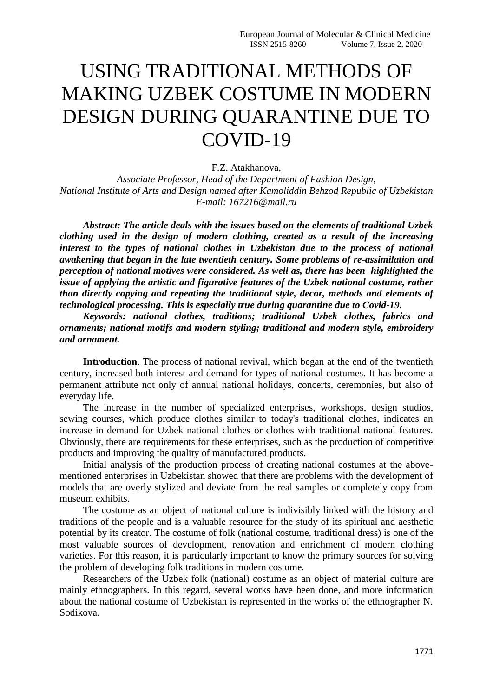## USING TRADITIONAL METHODS OF MAKING UZBEK COSTUME IN MODERN DESIGN DURING QUARANTINE DUE TO COVID-19

F.Z. Atakhanova,

*Associate Professor, Head of the Department of Fashion Design, National Institute of Arts and Design named after Kamoliddin Behzod Republic of Uzbekistan E-mail: 167216@mail.ru*

*Abstract: The article deals with the issues based on the elements of traditional Uzbek clothing used in the design of modern clothing, created as a result of the increasing interest to the types of national clothes in Uzbekistan due to the process of national awakening that began in the late twentieth century. Some problems of re-assimilation and perception of national motives were considered. As well as, there has been highlighted the issue of applying the artistic and figurative features of the Uzbek national costume, rather than directly copying and repeating the traditional style, decor, methods and elements of technological processing. This is especially true during quarantine due to Covid-19.*

*Keywords: national clothes, traditions; traditional Uzbek clothes, fabrics and ornaments; national motifs and modern styling; traditional and modern style, embroidery and ornament.*

**Introduction**. The process of national revival, which began at the end of the twentieth century, increased both interest and demand for types of national costumes. It has become a permanent attribute not only of annual national holidays, concerts, ceremonies, but also of everyday life.

The increase in the number of specialized enterprises, workshops, design studios, sewing courses, which produce clothes similar to today's traditional clothes, indicates an increase in demand for Uzbek national clothes or clothes with traditional national features. Obviously, there are requirements for these enterprises, such as the production of competitive products and improving the quality of manufactured products.

Initial analysis of the production process of creating national costumes at the abovementioned enterprises in Uzbekistan showed that there are problems with the development of models that are overly stylized and deviate from the real samples or completely copy from museum exhibits.

The costume as an object of national culture is indivisibly linked with the history and traditions of the people and is a valuable resource for the study of its spiritual and aesthetic potential by its creator. The costume of folk (national costume, traditional dress) is one of the most valuable sources of development, renovation and enrichment of modern clothing varieties. For this reason, it is particularly important to know the primary sources for solving the problem of developing folk traditions in modern costume.

Researchers of the Uzbek folk (national) costume as an object of material culture are mainly ethnographers. In this regard, several works have been done, and more information about the national costume of Uzbekistan is represented in the works of the ethnographer N. Sodikova.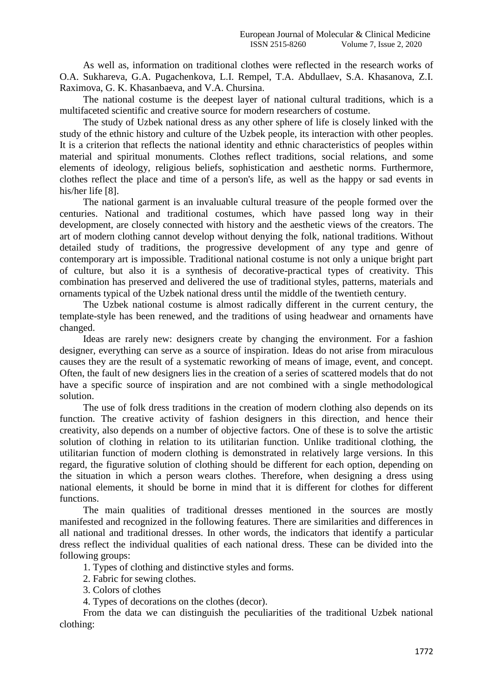As well as, information on traditional clothes were reflected in the research works of O.A. Sukhareva, G.A. Pugachenkova, L.I. Rempel, T.A. Abdullaev, S.A. Khasanova, Z.I. Raximova, G. K. Khasanbaeva, and V.A. Chursina.

The national costume is the deepest layer of national cultural traditions, which is a multifaceted scientific and creative source for modern researchers of costume.

The study of Uzbek national dress as any other sphere of life is closely linked with the study of the ethnic history and culture of the Uzbek people, its interaction with other peoples. It is a criterion that reflects the national identity and ethnic characteristics of peoples within material and spiritual monuments. Clothes reflect traditions, social relations, and some elements of ideology, religious beliefs, sophistication and aesthetic norms. Furthermore, clothes reflect the place and time of a person's life, as well as the happy or sad events in his/her life [8].

The national garment is an invaluable cultural treasure of the people formed over the centuries. National and traditional costumes, which have passed long way in their development, are closely connected with history and the aesthetic views of the creators. The art of modern clothing cannot develop without denying the folk, national traditions. Without detailed study of traditions, the progressive development of any type and genre of contemporary art is impossible. Traditional national costume is not only a unique bright part of culture, but also it is a synthesis of decorative-practical types of creativity. This combination has preserved and delivered the use of traditional styles, patterns, materials and ornaments typical of the Uzbek national dress until the middle of the twentieth century.

The Uzbek national costume is almost radically different in the current century, the template-style has been renewed, and the traditions of using headwear and ornaments have changed.

Ideas are rarely new: designers create by changing the environment. For a fashion designer, everything can serve as a source of inspiration. Ideas do not arise from miraculous causes they are the result of a systematic reworking of means of image, event, and concept. Often, the fault of new designers lies in the creation of a series of scattered models that do not have a specific source of inspiration and are not combined with a single methodological solution.

The use of folk dress traditions in the creation of modern clothing also depends on its function. The creative activity of fashion designers in this direction, and hence their creativity, also depends on a number of objective factors. One of these is to solve the artistic solution of clothing in relation to its utilitarian function. Unlike traditional clothing, the utilitarian function of modern clothing is demonstrated in relatively large versions. In this regard, the figurative solution of clothing should be different for each option, depending on the situation in which a person wears clothes. Therefore, when designing a dress using national elements, it should be borne in mind that it is different for clothes for different functions.

The main qualities of traditional dresses mentioned in the sources are mostly manifested and recognized in the following features. There are similarities and differences in all national and traditional dresses. In other words, the indicators that identify a particular dress reflect the individual qualities of each national dress. These can be divided into the following groups:

1. Types of clothing and distinctive styles and forms.

2. Fabric for sewing clothes.

3. Colors of clothes

4. Types of decorations on the clothes (decor).

From the data we can distinguish the peculiarities of the traditional Uzbek national clothing: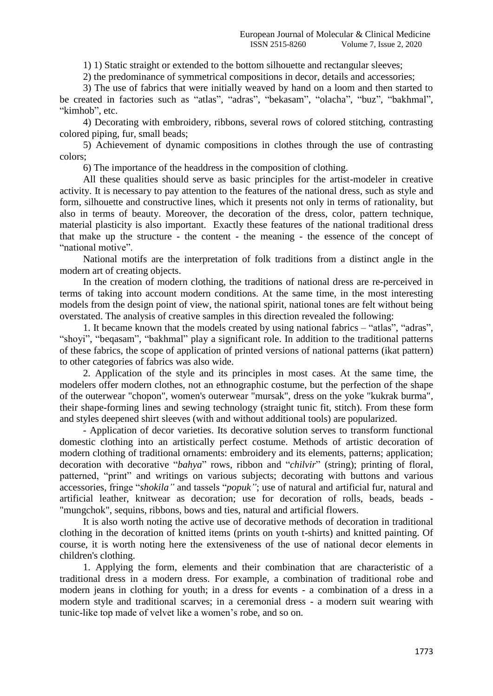1) 1) Static straight or extended to the bottom silhouette and rectangular sleeves;

2) the predominance of symmetrical compositions in decor, details and accessories;

3) The use of fabrics that were initially weaved by hand on a loom and then started to be created in factories such as "atlas", "adras", "bekasam", "olacha", "buz", "bakhmal", "kimhob", etc.

4) Decorating with embroidery, ribbons, several rows of colored stitching, contrasting colored piping, fur, small beads;

5) Achievement of dynamic compositions in clothes through the use of contrasting colors;

6) The importance of the headdress in the composition of clothing.

All these qualities should serve as basic principles for the artist-modeler in creative activity. It is necessary to pay attention to the features of the national dress, such as style and form, silhouette and constructive lines, which it presents not only in terms of rationality, but also in terms of beauty. Moreover, the decoration of the dress, color, pattern technique, material plasticity is also important. Exactly these features of the national traditional dress that make up the structure - the content - the meaning - the essence of the concept of "national motive".

National motifs are the interpretation of folk traditions from a distinct angle in the modern art of creating objects.

In the creation of modern clothing, the traditions of national dress are re-perceived in terms of taking into account modern conditions. At the same time, in the most interesting models from the design point of view, the national spirit, national tones are felt without being overstated. The analysis of creative samples in this direction revealed the following:

1. It became known that the models created by using national fabrics  $-$  "atlas", "adras", "shoyi", "beqasam", "bakhmal" play a significant role. In addition to the traditional patterns of these fabrics, the scope of application of printed versions of national patterns (ikat pattern) to other categories of fabrics was also wide.

2. Application of the style and its principles in most cases. At the same time, the modelers offer modern clothes, not an ethnographic costume, but the perfection of the shape of the outerwear "chopon", women's outerwear "mursak", dress on the yoke "kukrak burma", their shape-forming lines and sewing technology (straight tunic fit, stitch). From these form and styles deepened shirt sleeves (with and without additional tools) are popularized.

- Application of decor varieties. Its decorative solution serves to transform functional domestic clothing into an artistically perfect costume. Methods of artistic decoration of modern clothing of traditional ornaments: embroidery and its elements, patterns; application; decoration with decorative "*bahya*" rows, ribbon and "*chilvir*" (string); printing of floral, patterned, "print" and writings on various subjects; decorating with buttons and various accessories, fringe "shokila" and tassels "popuk"; use of natural and artificial fur, natural and artificial leather, knitwear as decoration; use for decoration of rolls, beads, beads - "mungchok", sequins, ribbons, bows and ties, natural and artificial flowers.

It is also worth noting the active use of decorative methods of decoration in traditional clothing in the decoration of knitted items (prints on youth t-shirts) and knitted painting. Of course, it is worth noting here the extensiveness of the use of national decor elements in children's clothing.

1. Applying the form, elements and their combination that are characteristic of a traditional dress in a modern dress. For example, a combination of traditional robe and modern jeans in clothing for youth; in a dress for events - a combination of a dress in a modern style and traditional scarves; in a ceremonial dress - a modern suit wearing with tunic-like top made of velvet like a women's robe, and so on.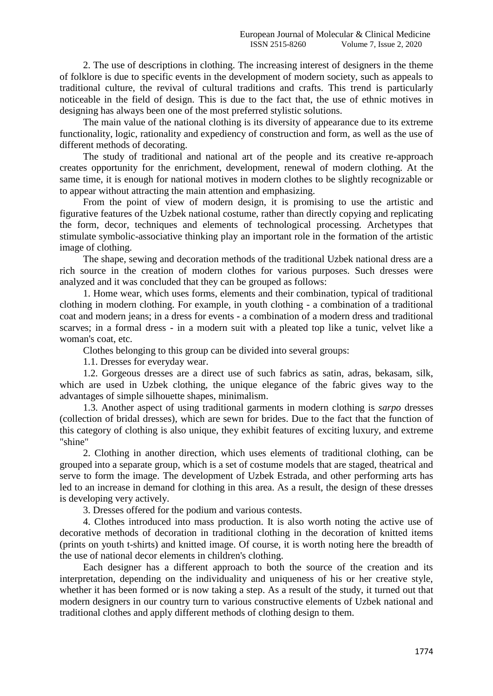2. The use of descriptions in clothing. The increasing interest of designers in the theme of folklore is due to specific events in the development of modern society, such as appeals to traditional culture, the revival of cultural traditions and crafts. This trend is particularly noticeable in the field of design. This is due to the fact that, the use of ethnic motives in designing has always been one of the most preferred stylistic solutions.

The main value of the national clothing is its diversity of appearance due to its extreme functionality, logic, rationality and expediency of construction and form, as well as the use of different methods of decorating.

The study of traditional and national art of the people and its creative re-approach creates opportunity for the enrichment, development, renewal of modern clothing. At the same time, it is enough for national motives in modern clothes to be slightly recognizable or to appear without attracting the main attention and emphasizing.

From the point of view of modern design, it is promising to use the artistic and figurative features of the Uzbek national costume, rather than directly copying and replicating the form, decor, techniques and elements of technological processing. Archetypes that stimulate symbolic-associative thinking play an important role in the formation of the artistic image of clothing.

The shape, sewing and decoration methods of the traditional Uzbek national dress are a rich source in the creation of modern clothes for various purposes. Such dresses were analyzed and it was concluded that they can be grouped as follows:

1. Home wear, which uses forms, elements and their combination, typical of traditional clothing in modern clothing. For example, in youth clothing - a combination of a traditional coat and modern jeans; in a dress for events - a combination of a modern dress and traditional scarves; in a formal dress - in a modern suit with a pleated top like a tunic, velvet like a woman's coat, etc.

Clothes belonging to this group can be divided into several groups:

1.1. Dresses for everyday wear.

1.2. Gorgeous dresses are a direct use of such fabrics as satin, adras, bekasam, silk, which are used in Uzbek clothing, the unique elegance of the fabric gives way to the advantages of simple silhouette shapes, minimalism.

1.3. Another aspect of using traditional garments in modern clothing is *sarpo* dresses (collection of bridal dresses), which are sewn for brides. Due to the fact that the function of this category of clothing is also unique, they exhibit features of exciting luxury, and extreme "shine"

2. Clothing in another direction, which uses elements of traditional clothing, can be grouped into a separate group, which is a set of costume models that are staged, theatrical and serve to form the image. The development of Uzbek Estrada, and other performing arts has led to an increase in demand for clothing in this area. As a result, the design of these dresses is developing very actively.

3. Dresses offered for the podium and various contests.

4. Clothes introduced into mass production. It is also worth noting the active use of decorative methods of decoration in traditional clothing in the decoration of knitted items (prints on youth t-shirts) and knitted image. Of course, it is worth noting here the breadth of the use of national decor elements in children's clothing.

Each designer has a different approach to both the source of the creation and its interpretation, depending on the individuality and uniqueness of his or her creative style, whether it has been formed or is now taking a step. As a result of the study, it turned out that modern designers in our country turn to various constructive elements of Uzbek national and traditional clothes and apply different methods of clothing design to them.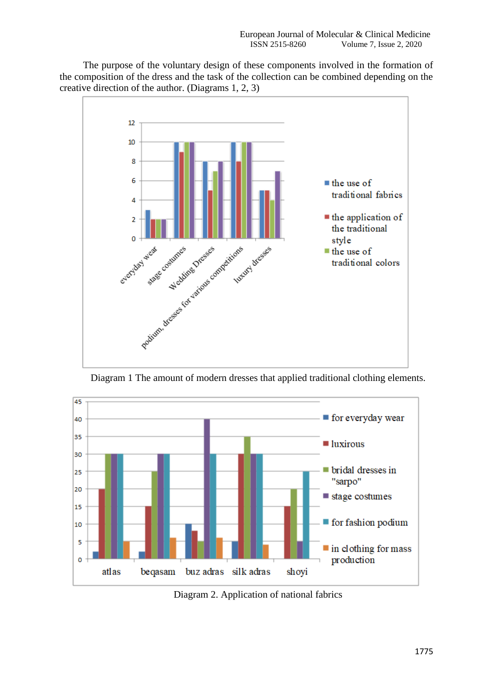The purpose of the voluntary design of these components involved in the formation of the composition of the dress and the task of the collection can be combined depending on the creative direction of the author. (Diagrams 1, 2, 3)



Diagram 1 The amount of modern dresses that applied traditional clothing elements.



Diagram 2. Application of national fabrics